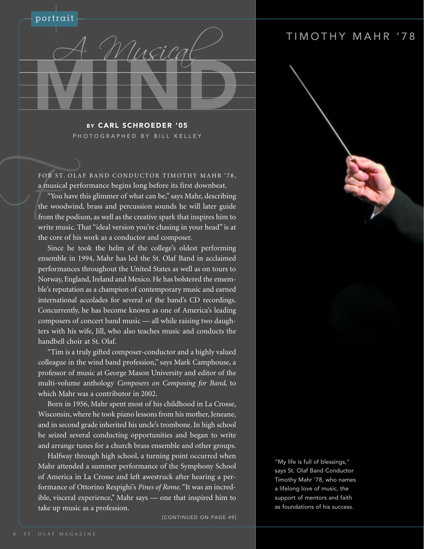

BY CARL SCHROEDER '05 PHOTOGRAPHED BY BILL KELLEY

a musical performance begins long before its first downbeat.

FOR ST. OLAF BAND CONDUCTOR TIMOTHY MAHR '78,<br>a musical performance begins long before its first downbeat.<br>"You have this glimmer of what can be," says Mahr, describing<br>the woodwind, brass and percussion sounds he will lat "You have this glimmer of what can be," says Mahr, describing the woodwind, brass and percussion sounds he will later guide from the podium, as well as the creative spark that inspires him to write music. That "ideal version you're chasing in your head" is at the core of his work as a conductor and composer.

Since he took the helm of the college's oldest performing ensemble in 1994, Mahr has led the St. Olaf Band in acclaimed performances throughout the United States as well as on tours to Norway, England, Ireland and Mexico. He has bolstered the ensemble's reputation as a champion of contemporary music and earned international accolades for several of the band's CD recordings. Concurrently, he has become known as one of America's leading composers of concert band music — all while raising two daughters with his wife, Jill, who also teaches music and conducts the handbell choir at St. Olaf.

"Tim is a truly gifted composer-conductor and a highly valued colleague in the wind band profession," says Mark Camphouse, a professor of music at George Mason University and editor of the multi-volume anthology *Composers on Composing for Band*, to which Mahr was a contributor in 2002.

Born in 1956, Mahr spent most of his childhood in La Crosse, Wisconsin, where he took piano lessons from his mother, Jeneane, and in second grade inherited his uncle's trombone. In high school he seized several conducting opportunities and began to write and arrange tunes for a church brass ensemble and other groups.

Halfway through high school, a turning point occurred when Mahr attended a summer performance of the Symphony School of America in La Crosse and left awestruck after hearing a performance of Ottorino Respighi's *Pines of Rome*. "It was an incredible, visceral experience," Mahr says — one that inspired him to take up music as a profession.

[CONTINUED ON PAGE 49]

## TIMOTHY MAHR '78

"My life is full of blessings," says St. Olaf Band Conductor Timothy Mahr '78, who names a lifelong love of music, the support of mentors and faith as foundations of his success.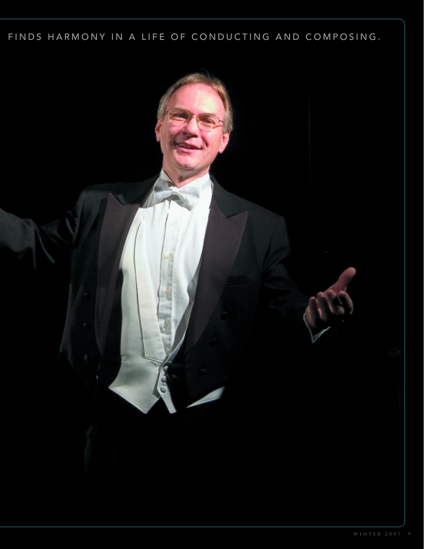## FINDS HARMONY IN A LIFE OF CONDUCTING AND COMPOSING.